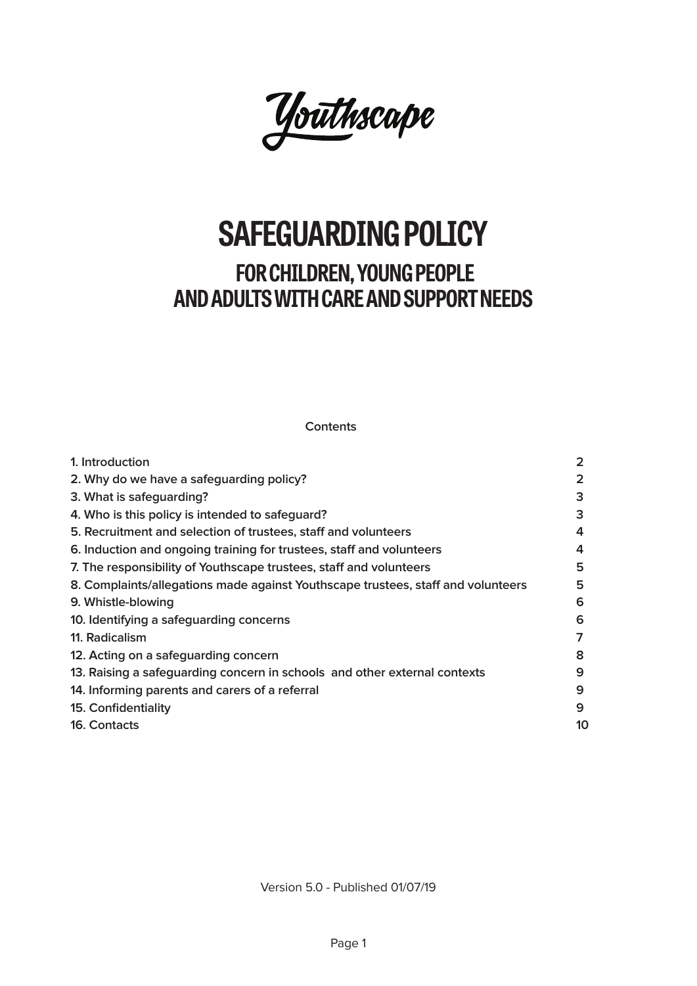

# **SAFEGUARDING POLICY**

# **FOR CHILDREN, YOUNG PEOPLE AND ADULTS WITH CARE AND SUPPORT NEEDS**

**Contents**

| 1. Introduction                                                                  | $\overline{2}$ |
|----------------------------------------------------------------------------------|----------------|
| 2. Why do we have a safeguarding policy?                                         | $\overline{2}$ |
| 3. What is safeguarding?                                                         | 3              |
| 4. Who is this policy is intended to safeguard?                                  | 3              |
| 5. Recruitment and selection of trustees, staff and volunteers                   | 4              |
| 6. Induction and ongoing training for trustees, staff and volunteers             | 4              |
| 7. The responsibility of Youthscape trustees, staff and volunteers               | 5              |
| 8. Complaints/allegations made against Youthscape trustees, staff and volunteers | 5              |
| 9. Whistle-blowing                                                               | 6              |
| 10. Identifying a safeguarding concerns                                          | 6              |
| 11. Radicalism                                                                   | 7              |
| 12. Acting on a safeguarding concern                                             | 8              |
| 13. Raising a safeguarding concern in schools and other external contexts        | 9              |
| 14. Informing parents and carers of a referral                                   | 9              |
| 15. Confidentiality                                                              | 9              |
| 16. Contacts                                                                     | 10             |

Version 5.0 - Published 01/07/19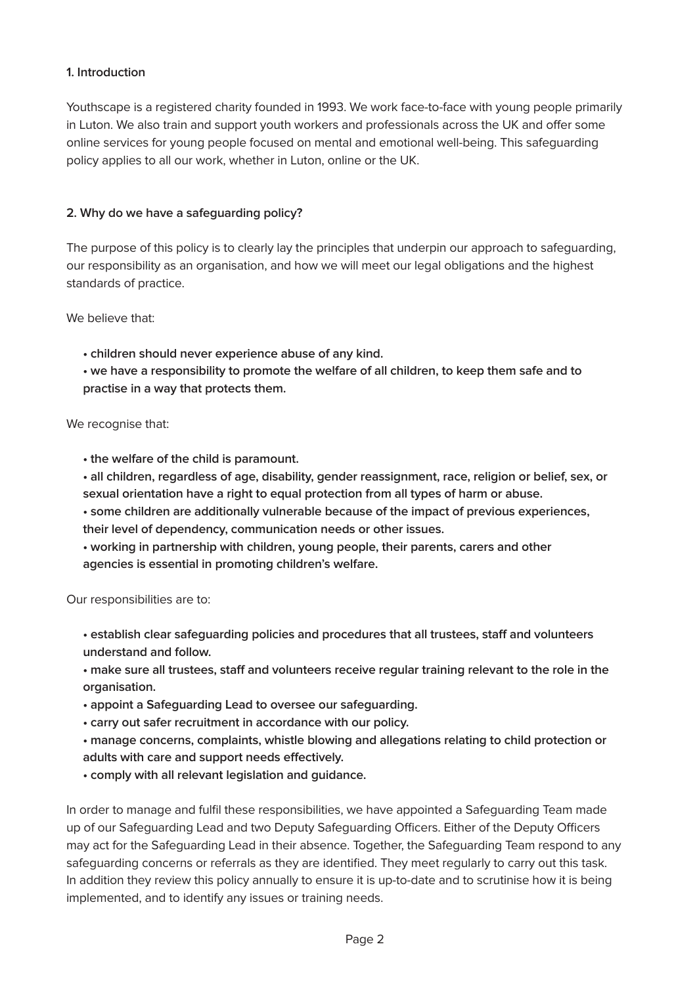#### **1. Introduction**

Youthscape is a registered charity founded in 1993. We work face-to-face with young people primarily in Luton. We also train and support youth workers and professionals across the UK and offer some online services for young people focused on mental and emotional well-being. This safeguarding policy applies to all our work, whether in Luton, online or the UK.

#### **2. Why do we have a safeguarding policy?**

The purpose of this policy is to clearly lay the principles that underpin our approach to safeguarding, our responsibility as an organisation, and how we will meet our legal obligations and the highest standards of practice.

We believe that:

**• children should never experience abuse of any kind.**

**• we have a responsibility to promote the welfare of all children, to keep them safe and to practise in a way that protects them.**

#### We recognise that:

**• the welfare of the child is paramount.**

**• all children, regardless of age, disability, gender reassignment, race, religion or belief, sex, or sexual orientation have a right to equal protection from all types of harm or abuse.**

**• some children are additionally vulnerable because of the impact of previous experiences, their level of dependency, communication needs or other issues.**

**• working in partnership with children, young people, their parents, carers and other agencies is essential in promoting children's welfare.**

Our responsibilities are to:

**• establish clear safeguarding policies and procedures that all trustees, staff and volunteers understand and follow.**

**• make sure all trustees, staff and volunteers receive regular training relevant to the role in the organisation.**

- **appoint a Safeguarding Lead to oversee our safeguarding.**
- **carry out safer recruitment in accordance with our policy.**
- **manage concerns, complaints, whistle blowing and allegations relating to child protection or**
- **adults with care and support needs effectively.**
- **comply with all relevant legislation and guidance.**

In order to manage and fulfil these responsibilities, we have appointed a Safeguarding Team made up of our Safeguarding Lead and two Deputy Safeguarding Officers. Either of the Deputy Officers may act for the Safeguarding Lead in their absence. Together, the Safeguarding Team respond to any safeguarding concerns or referrals as they are identified. They meet regularly to carry out this task. In addition they review this policy annually to ensure it is up-to-date and to scrutinise how it is being implemented, and to identify any issues or training needs.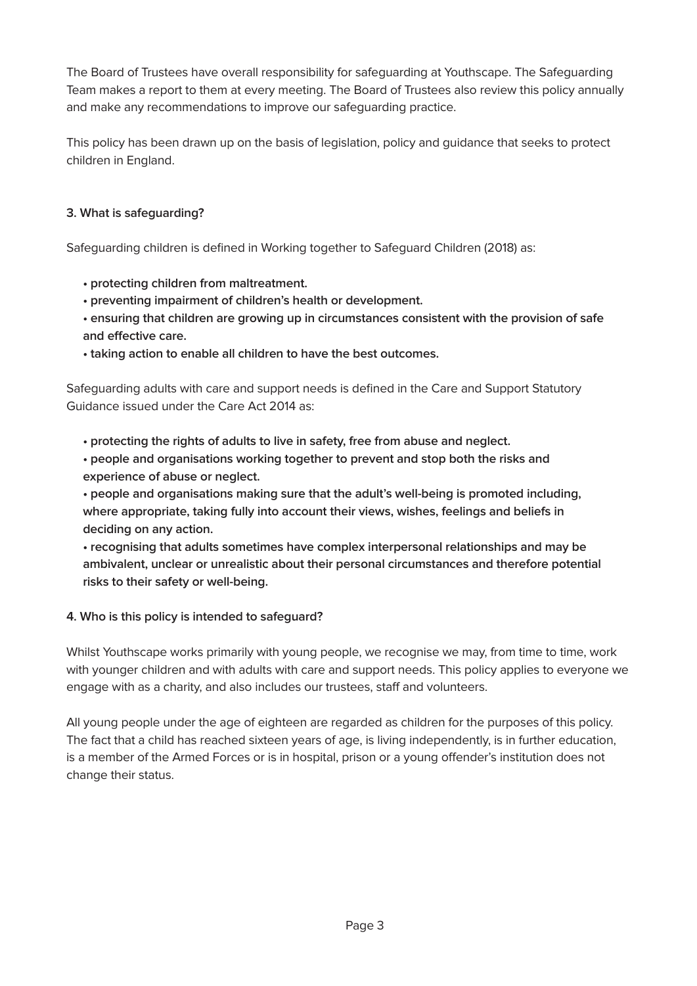The Board of Trustees have overall responsibility for safeguarding at Youthscape. The Safeguarding Team makes a report to them at every meeting. The Board of Trustees also review this policy annually and make any recommendations to improve our safeguarding practice.

This policy has been drawn up on the basis of legislation, policy and guidance that seeks to protect children in England.

# **3. What is safeguarding?**

Safeguarding children is defined in Working together to Safeguard Children (2018) as:

- **protecting children from maltreatment.**
- **preventing impairment of children's health or development.**
- **ensuring that children are growing up in circumstances consistent with the provision of safe and effective care.**
- **taking action to enable all children to have the best outcomes.**

Safeguarding adults with care and support needs is defined in the Care and Support Statutory Guidance issued under the Care Act 2014 as:

- **protecting the rights of adults to live in safety, free from abuse and neglect.**
- **people and organisations working together to prevent and stop both the risks and experience of abuse or neglect.**

**• people and organisations making sure that the adult's well-being is promoted including, where appropriate, taking fully into account their views, wishes, feelings and beliefs in deciding on any action.**

**• recognising that adults sometimes have complex interpersonal relationships and may be ambivalent, unclear or unrealistic about their personal circumstances and therefore potential risks to their safety or well-being.**

# **4. Who is this policy is intended to safeguard?**

Whilst Youthscape works primarily with young people, we recognise we may, from time to time, work with younger children and with adults with care and support needs. This policy applies to everyone we engage with as a charity, and also includes our trustees, staff and volunteers.

All young people under the age of eighteen are regarded as children for the purposes of this policy. The fact that a child has reached sixteen years of age, is living independently, is in further education, is a member of the Armed Forces or is in hospital, prison or a young offender's institution does not change their status.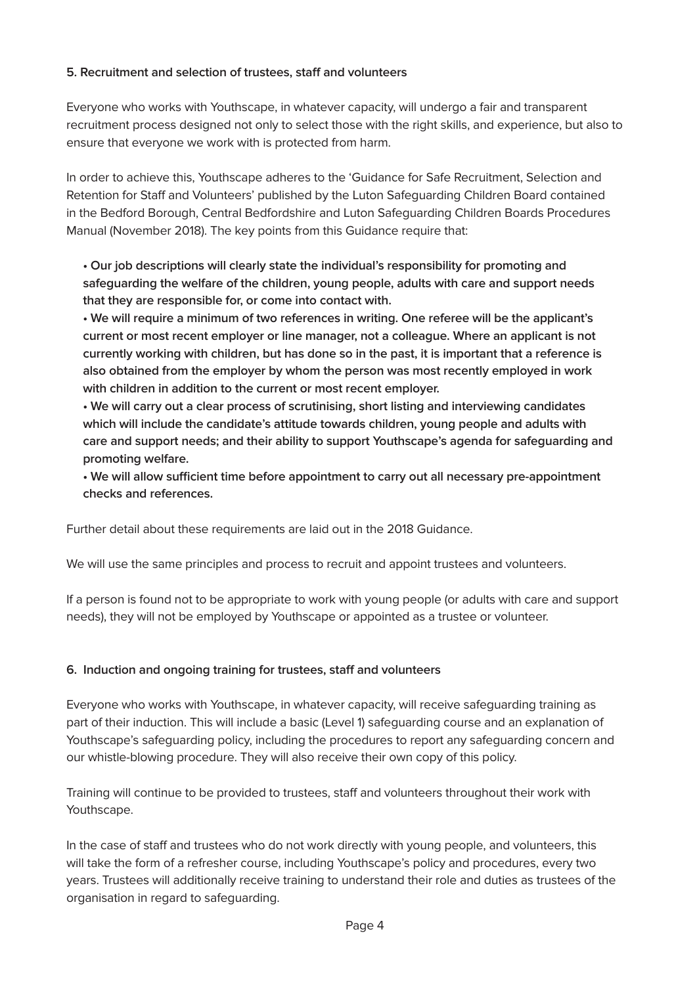#### **5. Recruitment and selection of trustees, staff and volunteers**

Everyone who works with Youthscape, in whatever capacity, will undergo a fair and transparent recruitment process designed not only to select those with the right skills, and experience, but also to ensure that everyone we work with is protected from harm.

In order to achieve this, Youthscape adheres to the 'Guidance for Safe Recruitment, Selection and Retention for Staff and Volunteers' published by the Luton Safeguarding Children Board contained in the Bedford Borough, Central Bedfordshire and Luton Safeguarding Children Boards Procedures Manual (November 2018). The key points from this Guidance require that:

**• Our job descriptions will clearly state the individual's responsibility for promoting and safeguarding the welfare of the children, young people, adults with care and support needs that they are responsible for, or come into contact with.**

**• We will require a minimum of two references in writing. One referee will be the applicant's current or most recent employer or line manager, not a colleague. Where an applicant is not currently working with children, but has done so in the past, it is important that a reference is also obtained from the employer by whom the person was most recently employed in work with children in addition to the current or most recent employer.**

**• We will carry out a clear process of scrutinising, short listing and interviewing candidates which will include the candidate's attitude towards children, young people and adults with care and support needs; and their ability to support Youthscape's agenda for safeguarding and promoting welfare.**

**• We will allow sufficient time before appointment to carry out all necessary pre-appointment checks and references.**

Further detail about these requirements are laid out in the 2018 Guidance.

We will use the same principles and process to recruit and appoint trustees and volunteers.

If a person is found not to be appropriate to work with young people (or adults with care and support needs), they will not be employed by Youthscape or appointed as a trustee or volunteer.

# **6. Induction and ongoing training for trustees, staff and volunteers**

Everyone who works with Youthscape, in whatever capacity, will receive safeguarding training as part of their induction. This will include a basic (Level 1) safeguarding course and an explanation of Youthscape's safeguarding policy, including the procedures to report any safeguarding concern and our whistle-blowing procedure. They will also receive their own copy of this policy.

Training will continue to be provided to trustees, staff and volunteers throughout their work with Youthscape.

In the case of staff and trustees who do not work directly with young people, and volunteers, this will take the form of a refresher course, including Youthscape's policy and procedures, every two years. Trustees will additionally receive training to understand their role and duties as trustees of the organisation in regard to safeguarding.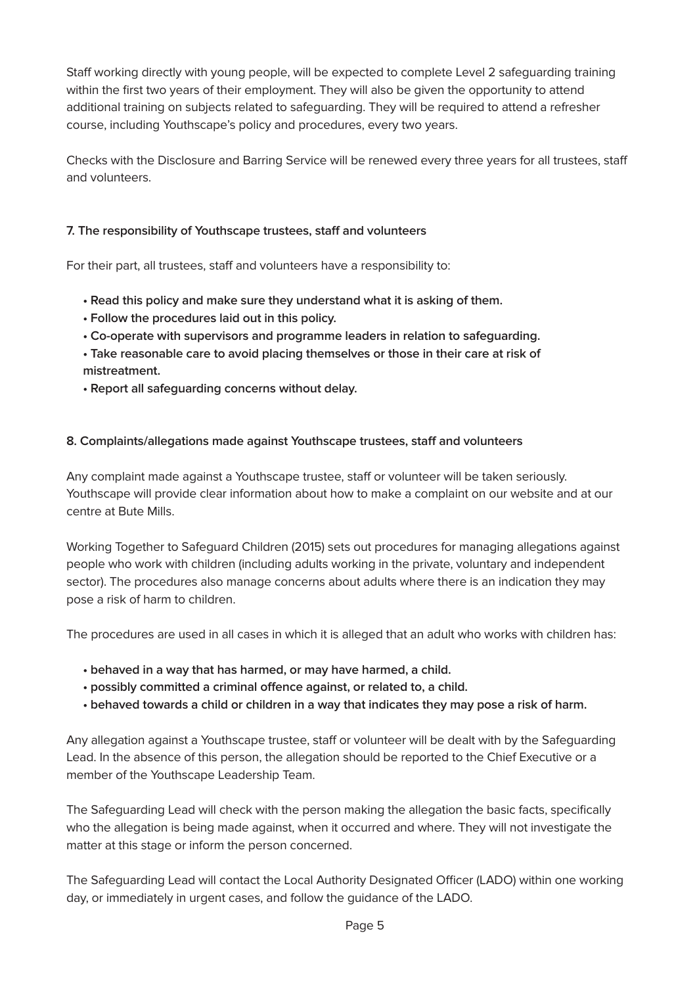Staff working directly with young people, will be expected to complete Level 2 safeguarding training within the first two years of their employment. They will also be given the opportunity to attend additional training on subjects related to safeguarding. They will be required to attend a refresher course, including Youthscape's policy and procedures, every two years.

Checks with the Disclosure and Barring Service will be renewed every three years for all trustees, staff and volunteers.

#### **7. The responsibility of Youthscape trustees, staff and volunteers**

For their part, all trustees, staff and volunteers have a responsibility to:

- **Read this policy and make sure they understand what it is asking of them.**
- **Follow the procedures laid out in this policy.**
- **Co-operate with supervisors and programme leaders in relation to safeguarding.**
- **Take reasonable care to avoid placing themselves or those in their care at risk of mistreatment.**
- **Report all safeguarding concerns without delay.**

#### **8. Complaints/allegations made against Youthscape trustees, staff and volunteers**

Any complaint made against a Youthscape trustee, staff or volunteer will be taken seriously. Youthscape will provide clear information about how to make a complaint on our website and at our centre at Bute Mills.

Working Together to Safeguard Children (2015) sets out procedures for managing allegations against people who work with children (including adults working in the private, voluntary and independent sector). The procedures also manage concerns about adults where there is an indication they may pose a risk of harm to children.

The procedures are used in all cases in which it is alleged that an adult who works with children has:

- **behaved in a way that has harmed, or may have harmed, a child.**
- **possibly committed a criminal offence against, or related to, a child.**
- **behaved towards a child or children in a way that indicates they may pose a risk of harm.**

Any allegation against a Youthscape trustee, staff or volunteer will be dealt with by the Safeguarding Lead. In the absence of this person, the allegation should be reported to the Chief Executive or a member of the Youthscape Leadership Team.

The Safeguarding Lead will check with the person making the allegation the basic facts, specifically who the allegation is being made against, when it occurred and where. They will not investigate the matter at this stage or inform the person concerned.

The Safeguarding Lead will contact the Local Authority Designated Officer (LADO) within one working day, or immediately in urgent cases, and follow the guidance of the LADO.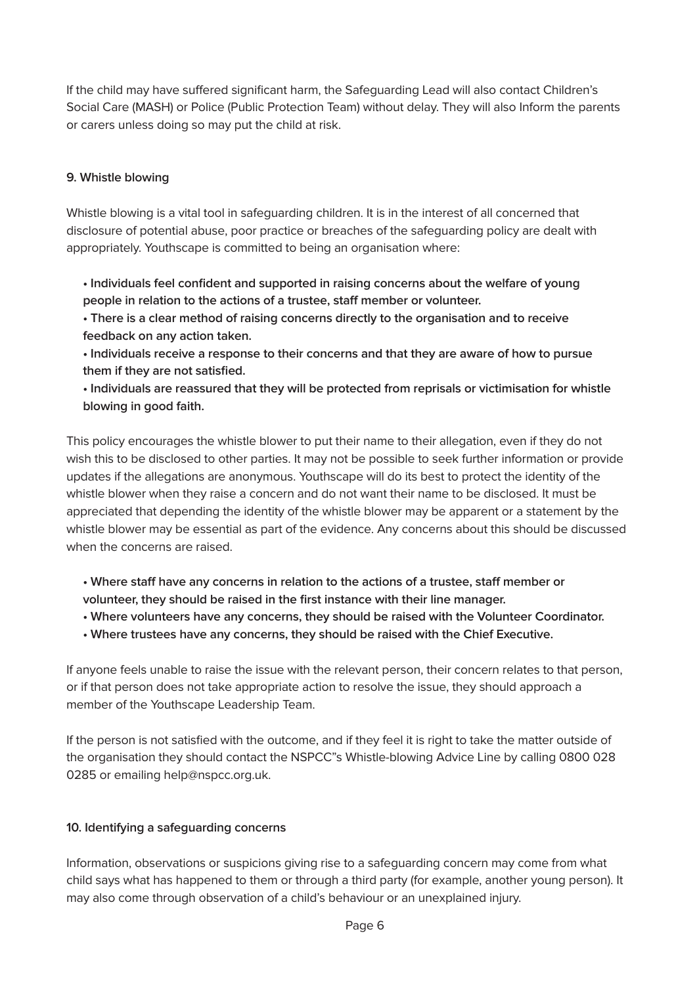If the child may have suffered significant harm, the Safeguarding Lead will also contact Children's Social Care (MASH) or Police (Public Protection Team) without delay. They will also Inform the parents or carers unless doing so may put the child at risk.

#### **9. Whistle blowing**

Whistle blowing is a vital tool in safeguarding children. It is in the interest of all concerned that disclosure of potential abuse, poor practice or breaches of the safeguarding policy are dealt with appropriately. Youthscape is committed to being an organisation where:

- **Individuals feel confident and supported in raising concerns about the welfare of young people in relation to the actions of a trustee, staff member or volunteer.**
- **There is a clear method of raising concerns directly to the organisation and to receive feedback on any action taken.**
- **Individuals receive a response to their concerns and that they are aware of how to pursue them if they are not satisfied.**
- **Individuals are reassured that they will be protected from reprisals or victimisation for whistle blowing in good faith.**

This policy encourages the whistle blower to put their name to their allegation, even if they do not wish this to be disclosed to other parties. It may not be possible to seek further information or provide updates if the allegations are anonymous. Youthscape will do its best to protect the identity of the whistle blower when they raise a concern and do not want their name to be disclosed. It must be appreciated that depending the identity of the whistle blower may be apparent or a statement by the whistle blower may be essential as part of the evidence. Any concerns about this should be discussed when the concerns are raised.

- **Where staff have any concerns in relation to the actions of a trustee, staff member or volunteer, they should be raised in the first instance with their line manager.**
- **Where volunteers have any concerns, they should be raised with the Volunteer Coordinator.**
- **Where trustees have any concerns, they should be raised with the Chief Executive.**

If anyone feels unable to raise the issue with the relevant person, their concern relates to that person, or if that person does not take appropriate action to resolve the issue, they should approach a member of the Youthscape Leadership Team.

If the person is not satisfied with the outcome, and if they feel it is right to take the matter outside of the organisation they should contact the NSPCC"s Whistle-blowing Advice Line by calling 0800 028 0285 or emailing help@nspcc.org.uk.

#### **10. Identifying a safeguarding concerns**

Information, observations or suspicions giving rise to a safeguarding concern may come from what child says what has happened to them or through a third party (for example, another young person). It may also come through observation of a child's behaviour or an unexplained injury.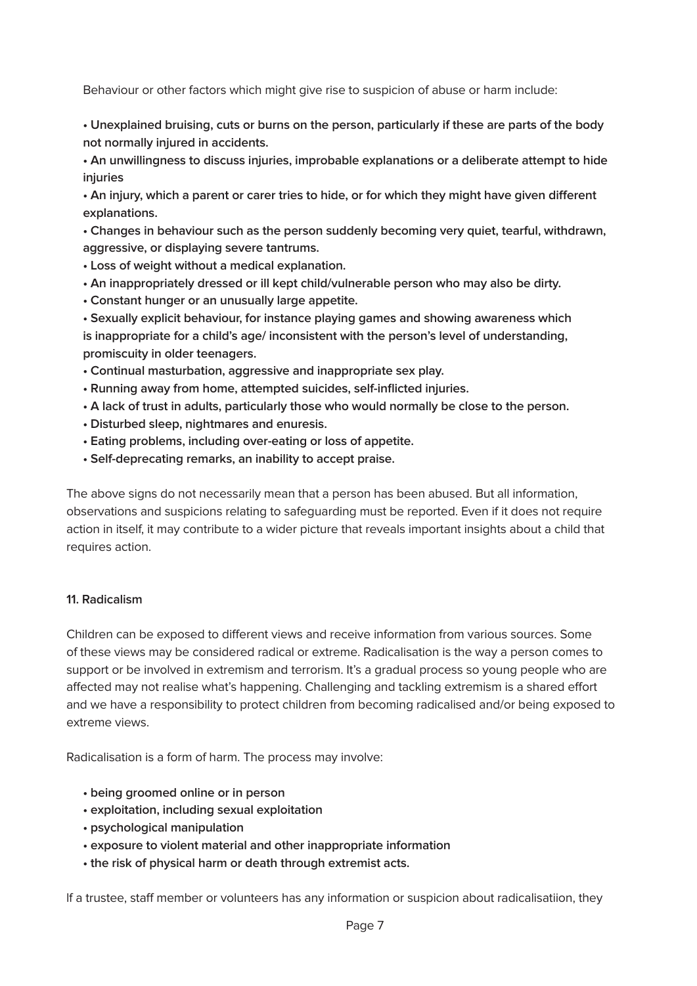Behaviour or other factors which might give rise to suspicion of abuse or harm include:

**• Unexplained bruising, cuts or burns on the person, particularly if these are parts of the body not normally injured in accidents.**

**• An unwillingness to discuss injuries, improbable explanations or a deliberate attempt to hide injuries**

**• An injury, which a parent or carer tries to hide, or for which they might have given different explanations.**

**• Changes in behaviour such as the person suddenly becoming very quiet, tearful, withdrawn, aggressive, or displaying severe tantrums.**

- **Loss of weight without a medical explanation.**
- **An inappropriately dressed or ill kept child/vulnerable person who may also be dirty.**
- **Constant hunger or an unusually large appetite.**

**• Sexually explicit behaviour, for instance playing games and showing awareness which is inappropriate for a child's age/ inconsistent with the person's level of understanding, promiscuity in older teenagers.**

- **Continual masturbation, aggressive and inappropriate sex play.**
- **Running away from home, attempted suicides, self-inflicted injuries.**
- **A lack of trust in adults, particularly those who would normally be close to the person.**
- **Disturbed sleep, nightmares and enuresis.**
- **Eating problems, including over-eating or loss of appetite.**
- **Self-deprecating remarks, an inability to accept praise.**

The above signs do not necessarily mean that a person has been abused. But all information, observations and suspicions relating to safeguarding must be reported. Even if it does not require action in itself, it may contribute to a wider picture that reveals important insights about a child that requires action.

#### **11. Radicalism**

Children can be exposed to different views and receive information from various sources. Some of these views may be considered radical or extreme. Radicalisation is the way a person comes to support or be involved in extremism and terrorism. It's a gradual process so young people who are affected may not realise what's happening. Challenging and tackling extremism is a shared effort and we have a responsibility to protect children from becoming radicalised and/or being exposed to extreme views.

Radicalisation is a form of harm. The process may involve:

- **being groomed online or in person**
- **exploitation, including sexual exploitation**
- **psychological manipulation**
- **exposure to violent material and other inappropriate information**
- **the risk of physical harm or death through extremist acts.**

lf a trustee, staff member or volunteers has any information or suspicion about radicalisatiion, they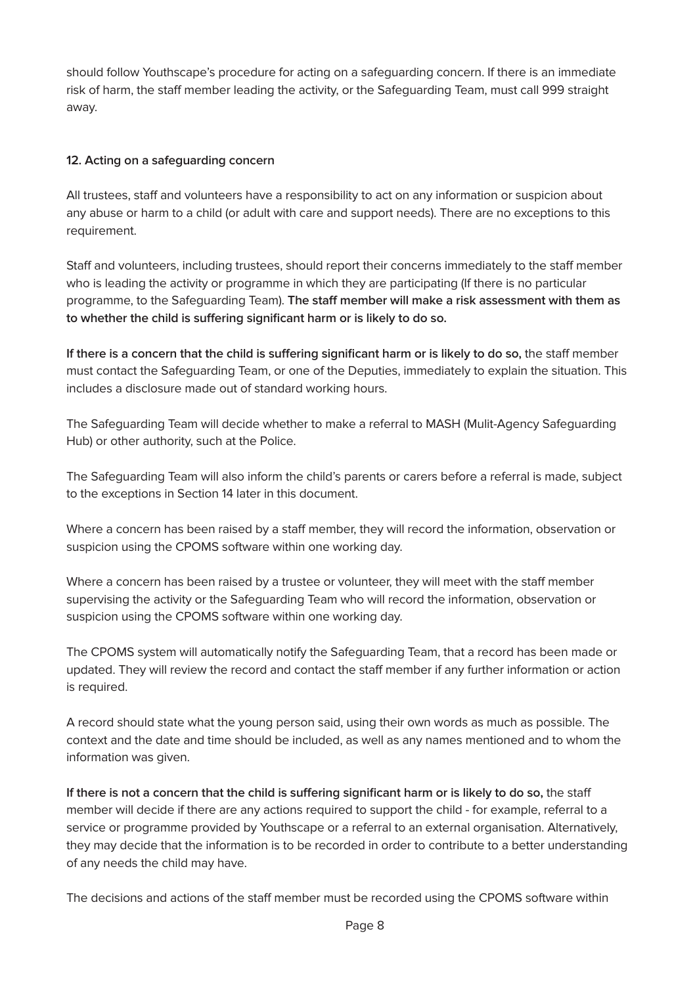should follow Youthscape's procedure for acting on a safeguarding concern. If there is an immediate risk of harm, the staff member leading the activity, or the Safeguarding Team, must call 999 straight away.

#### **12. Acting on a safeguarding concern**

All trustees, staff and volunteers have a responsibility to act on any information or suspicion about any abuse or harm to a child (or adult with care and support needs). There are no exceptions to this requirement.

Staff and volunteers, including trustees, should report their concerns immediately to the staff member who is leading the activity or programme in which they are participating (If there is no particular programme, to the Safeguarding Team). **The staff member will make a risk assessment with them as to whether the child is suffering significant harm or is likely to do so.**

**If there is a concern that the child is suffering significant harm or is likely to do so,** the staff member must contact the Safeguarding Team, or one of the Deputies, immediately to explain the situation. This includes a disclosure made out of standard working hours.

The Safeguarding Team will decide whether to make a referral to MASH (Mulit-Agency Safeguarding Hub) or other authority, such at the Police.

The Safeguarding Team will also inform the child's parents or carers before a referral is made, subject to the exceptions in Section 14 later in this document.

Where a concern has been raised by a staff member, they will record the information, observation or suspicion using the CPOMS software within one working day.

Where a concern has been raised by a trustee or volunteer, they will meet with the staff member supervising the activity or the Safeguarding Team who will record the information, observation or suspicion using the CPOMS software within one working day.

The CPOMS system will automatically notify the Safeguarding Team, that a record has been made or updated. They will review the record and contact the staff member if any further information or action is required.

A record should state what the young person said, using their own words as much as possible. The context and the date and time should be included, as well as any names mentioned and to whom the information was given.

**If there is not a concern that the child is suffering significant harm or is likely to do so,** the staff member will decide if there are any actions required to support the child - for example, referral to a service or programme provided by Youthscape or a referral to an external organisation. Alternatively, they may decide that the information is to be recorded in order to contribute to a better understanding of any needs the child may have.

The decisions and actions of the staff member must be recorded using the CPOMS software within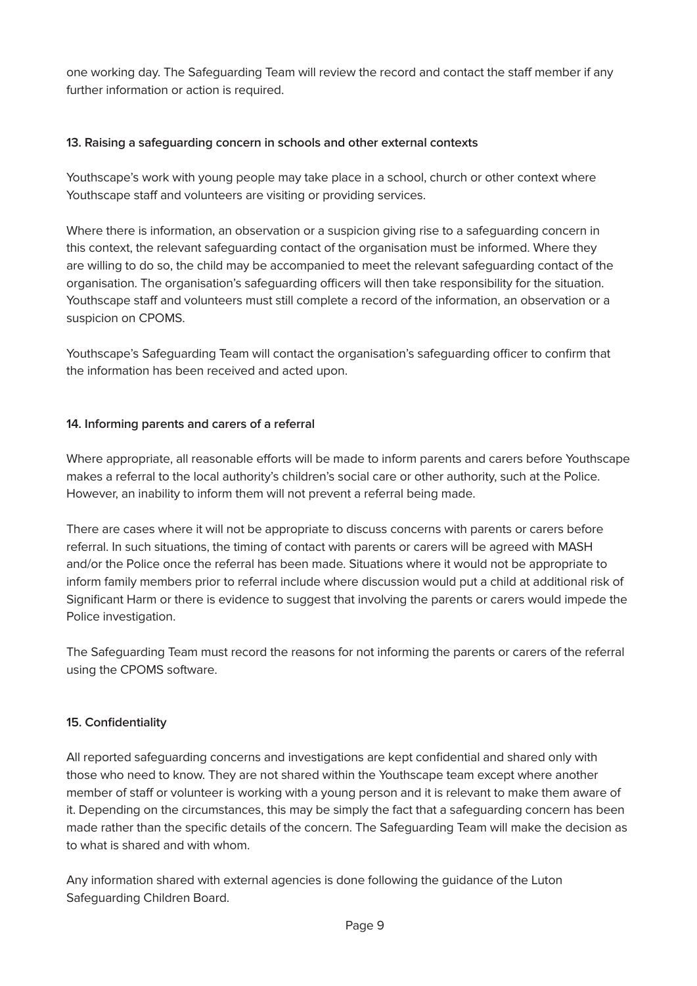one working day. The Safeguarding Team will review the record and contact the staff member if any further information or action is required.

#### **13. Raising a safeguarding concern in schools and other external contexts**

Youthscape's work with young people may take place in a school, church or other context where Youthscape staff and volunteers are visiting or providing services.

Where there is information, an observation or a suspicion giving rise to a safeguarding concern in this context, the relevant safeguarding contact of the organisation must be informed. Where they are willing to do so, the child may be accompanied to meet the relevant safeguarding contact of the organisation. The organisation's safeguarding officers will then take responsibility for the situation. Youthscape staff and volunteers must still complete a record of the information, an observation or a suspicion on CPOMS.

Youthscape's Safeguarding Team will contact the organisation's safeguarding officer to confirm that the information has been received and acted upon.

#### **14. Informing parents and carers of a referral**

Where appropriate, all reasonable efforts will be made to inform parents and carers before Youthscape makes a referral to the local authority's children's social care or other authority, such at the Police. However, an inability to inform them will not prevent a referral being made.

There are cases where it will not be appropriate to discuss concerns with parents or carers before referral. In such situations, the timing of contact with parents or carers will be agreed with MASH and/or the Police once the referral has been made. Situations where it would not be appropriate to inform family members prior to referral include where discussion would put a child at additional risk of Significant Harm or there is evidence to suggest that involving the parents or carers would impede the Police investigation.

The Safeguarding Team must record the reasons for not informing the parents or carers of the referral using the CPOMS software.

# **15. Confidentiality**

All reported safeguarding concerns and investigations are kept confidential and shared only with those who need to know. They are not shared within the Youthscape team except where another member of staff or volunteer is working with a young person and it is relevant to make them aware of it. Depending on the circumstances, this may be simply the fact that a safeguarding concern has been made rather than the specific details of the concern. The Safeguarding Team will make the decision as to what is shared and with whom.

Any information shared with external agencies is done following the guidance of the Luton Safeguarding Children Board.